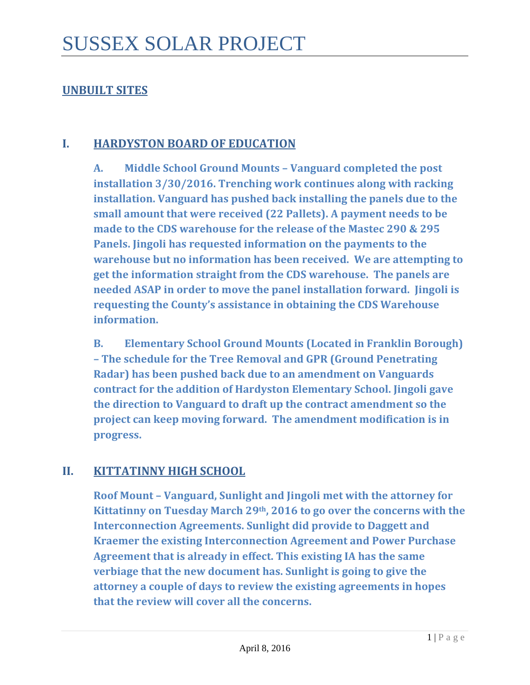## **UNBUILT SITES**

#### **I. HARDYSTON BOARD OF EDUCATION**

**A. Middle School Ground Mounts – Vanguard completed the post installation 3/30/2016. Trenching work continues along with racking installation. Vanguard has pushed back installing the panels due to the small amount that were received (22 Pallets). A payment needs to be made to the CDS warehouse for the release of the Mastec 290 & 295 Panels. Jingoli has requested information on the payments to the warehouse but no information has been received. We are attempting to get the information straight from the CDS warehouse. The panels are needed ASAP in order to move the panel installation forward. Jingoli is requesting the County's assistance in obtaining the CDS Warehouse information.**

**B. Elementary School Ground Mounts (Located in Franklin Borough) – The schedule for the Tree Removal and GPR (Ground Penetrating Radar) has been pushed back due to an amendment on Vanguards contract for the addition of Hardyston Elementary School. Jingoli gave the direction to Vanguard to draft up the contract amendment so the project can keep moving forward. The amendment modification is in progress.**

#### **II. KITTATINNY HIGH SCHOOL**

**Roof Mount – Vanguard, Sunlight and Jingoli met with the attorney for Kittatinny on Tuesday March 29th, 2016 to go over the concerns with the Interconnection Agreements. Sunlight did provide to Daggett and Kraemer the existing Interconnection Agreement and Power Purchase Agreement that is already in effect. This existing IA has the same verbiage that the new document has. Sunlight is going to give the attorney a couple of days to review the existing agreements in hopes that the review will cover all the concerns.**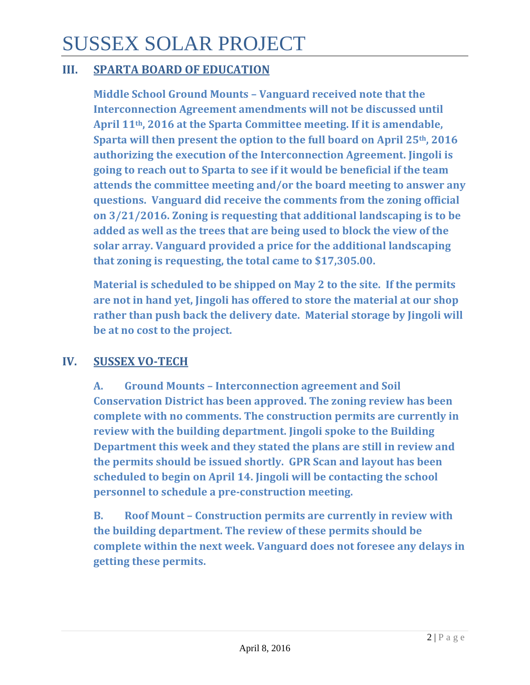# SUSSEX SOLAR PROJECT

## **III. SPARTA BOARD OF EDUCATION**

**Middle School Ground Mounts – Vanguard received note that the Interconnection Agreement amendments will not be discussed until April 11th, 2016 at the Sparta Committee meeting. If it is amendable, Sparta will then present the option to the full board on April 25th, 2016 authorizing the execution of the Interconnection Agreement. Jingoli is going to reach out to Sparta to see if it would be beneficial if the team attends the committee meeting and/or the board meeting to answer any questions. Vanguard did receive the comments from the zoning official on 3/21/2016. Zoning is requesting that additional landscaping is to be added as well as the trees that are being used to block the view of the solar array. Vanguard provided a price for the additional landscaping that zoning is requesting, the total came to \$17,305.00.**

**Material is scheduled to be shipped on May 2 to the site. If the permits are not in hand yet, Jingoli has offered to store the material at our shop rather than push back the delivery date. Material storage by Jingoli will be at no cost to the project.**

## **IV. SUSSEX VO-TECH**

**A. Ground Mounts – Interconnection agreement and Soil Conservation District has been approved. The zoning review has been complete with no comments. The construction permits are currently in review with the building department. Jingoli spoke to the Building Department this week and they stated the plans are still in review and the permits should be issued shortly. GPR Scan and layout has been scheduled to begin on April 14. Jingoli will be contacting the school personnel to schedule a pre-construction meeting.**

**B. Roof Mount – Construction permits are currently in review with the building department. The review of these permits should be complete within the next week. Vanguard does not foresee any delays in getting these permits.**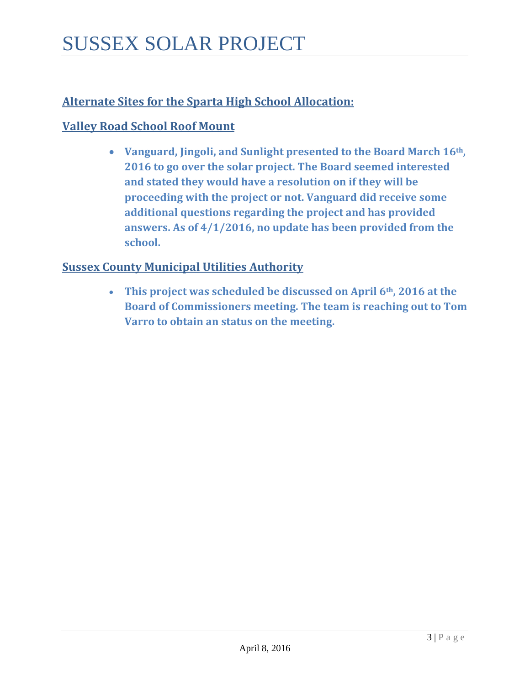# **Alternate Sites for the Sparta High School Allocation:**

### **Valley Road School Roof Mount**

• **Vanguard, Jingoli, and Sunlight presented to the Board March 16th, 2016 to go over the solar project. The Board seemed interested and stated they would have a resolution on if they will be proceeding with the project or not. Vanguard did receive some additional questions regarding the project and has provided answers. As of 4/1/2016, no update has been provided from the school.** 

#### **Sussex County Municipal Utilities Authority**

• **This project was scheduled be discussed on April 6th, 2016 at the Board of Commissioners meeting. The team is reaching out to Tom Varro to obtain an status on the meeting.**